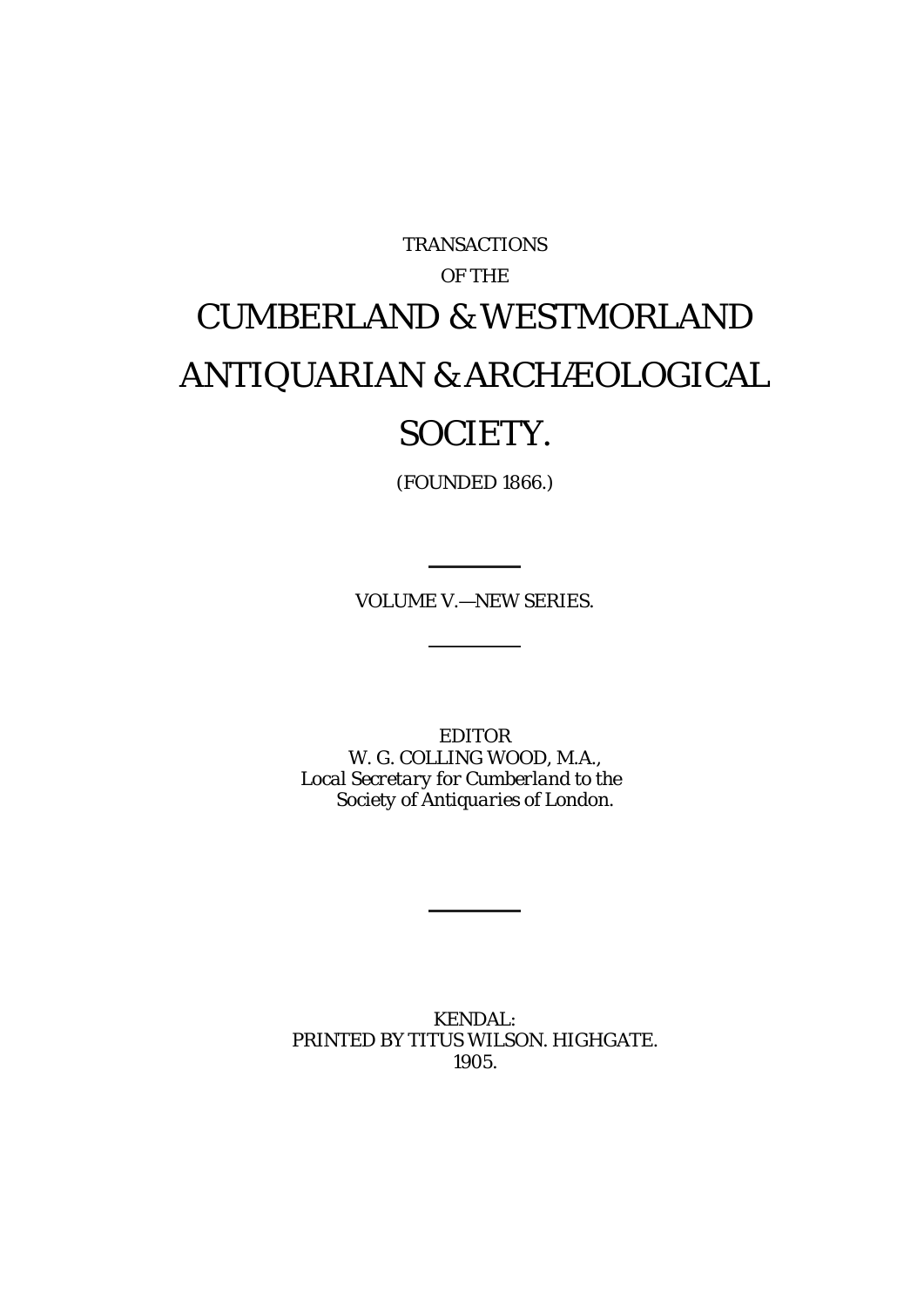# TRANSACTIONS OF THE CUMBERLAND & WESTMORLAND ANTIQUARIAN & ARCHÆOLOGICAL SOCIETY.

(FOUNDED 1866.)

VOLUME V.—NEW SERIES.

EDITOR W. G. COLLING WOOD, M.A., *Local Secretary for Cumberland to the Society of Antiquaries of London.*

KENDAL: PRINTED BY TITUS WILSON. HIGHGATE. 1905.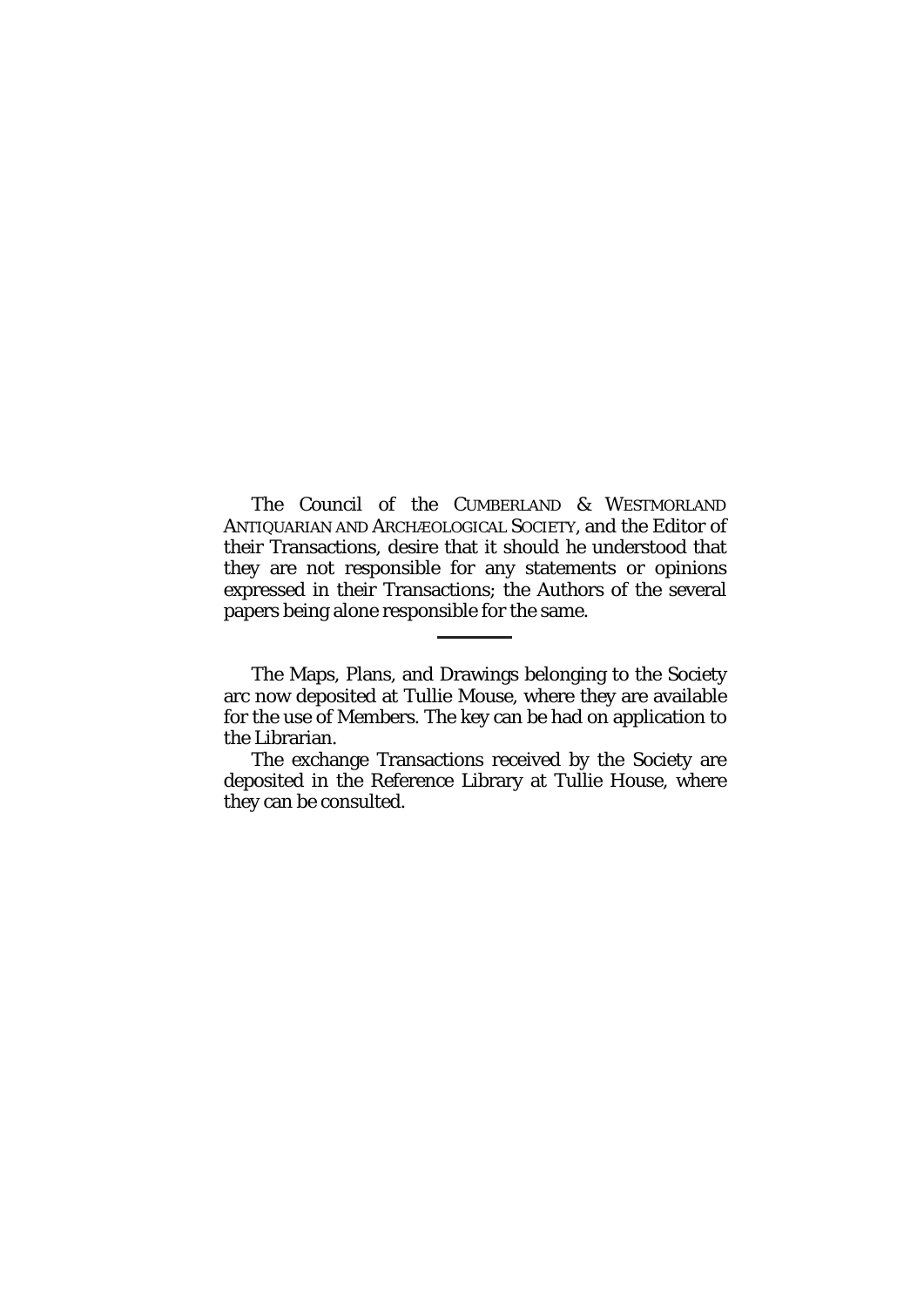The Council of the CUMBERLAND & WESTMORLAND ANTIQUARIAN AND ARCHÆOLOGICAL SOCIETY, and the Editor of their Transactions, desire that it should he understood that they are not responsible for any statements or opinions expressed in their Transactions; the Authors of the several papers being alone responsible for the same.

The Maps, Plans, and Drawings belonging to the Society arc now deposited at Tullie Mouse, where they are available for the use of Members. The key can be had on application to the Librarian.

The exchange Transactions received by the Society are deposited in the Reference Library at Tullie House, where they can be consulted.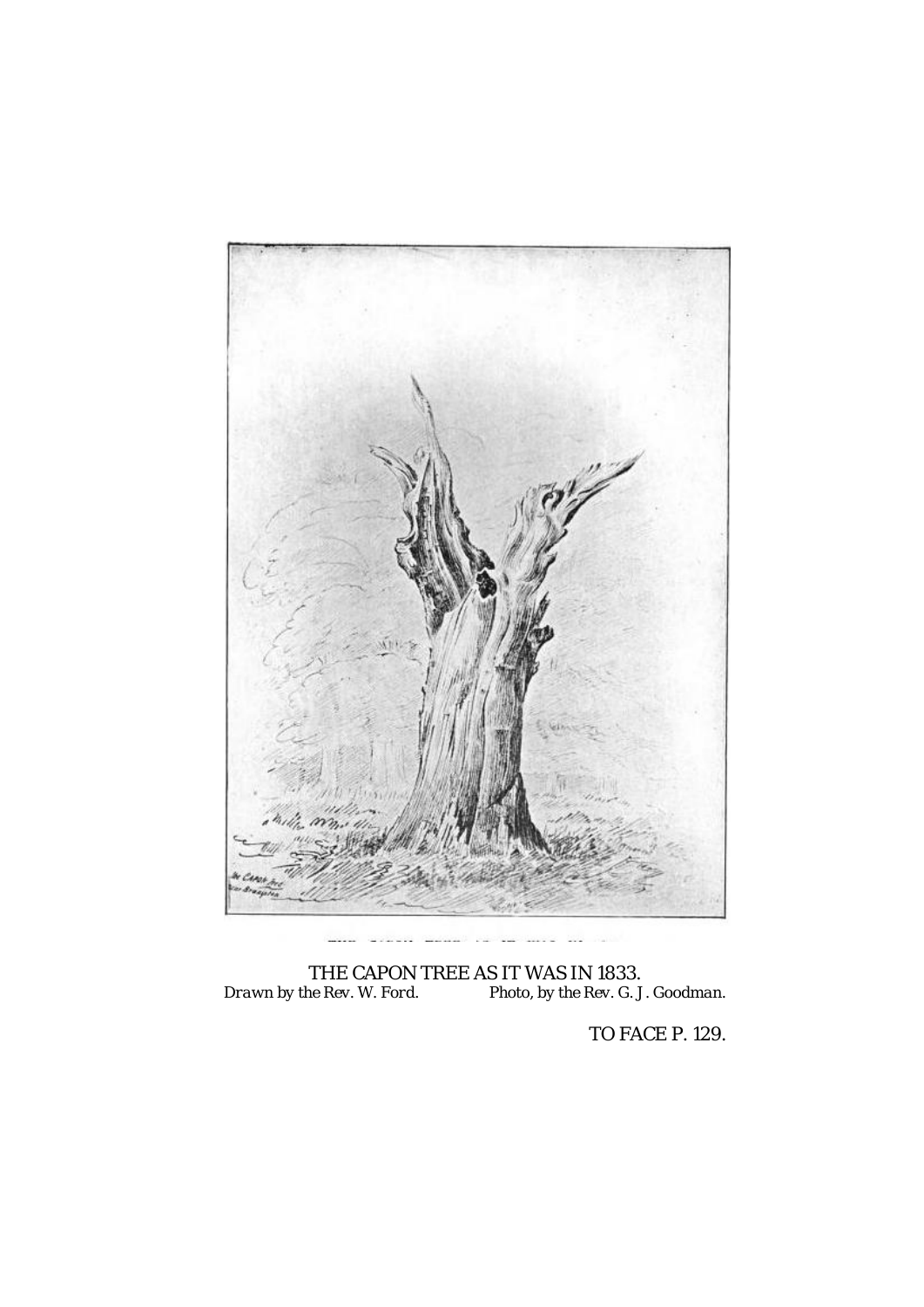

THE CAPON TREE AS IT WAS IN 1833. *Drawn by the Rev. W. Ford. Photo, by the Rev. G. J. Goodman.*

TO FACE P. 129.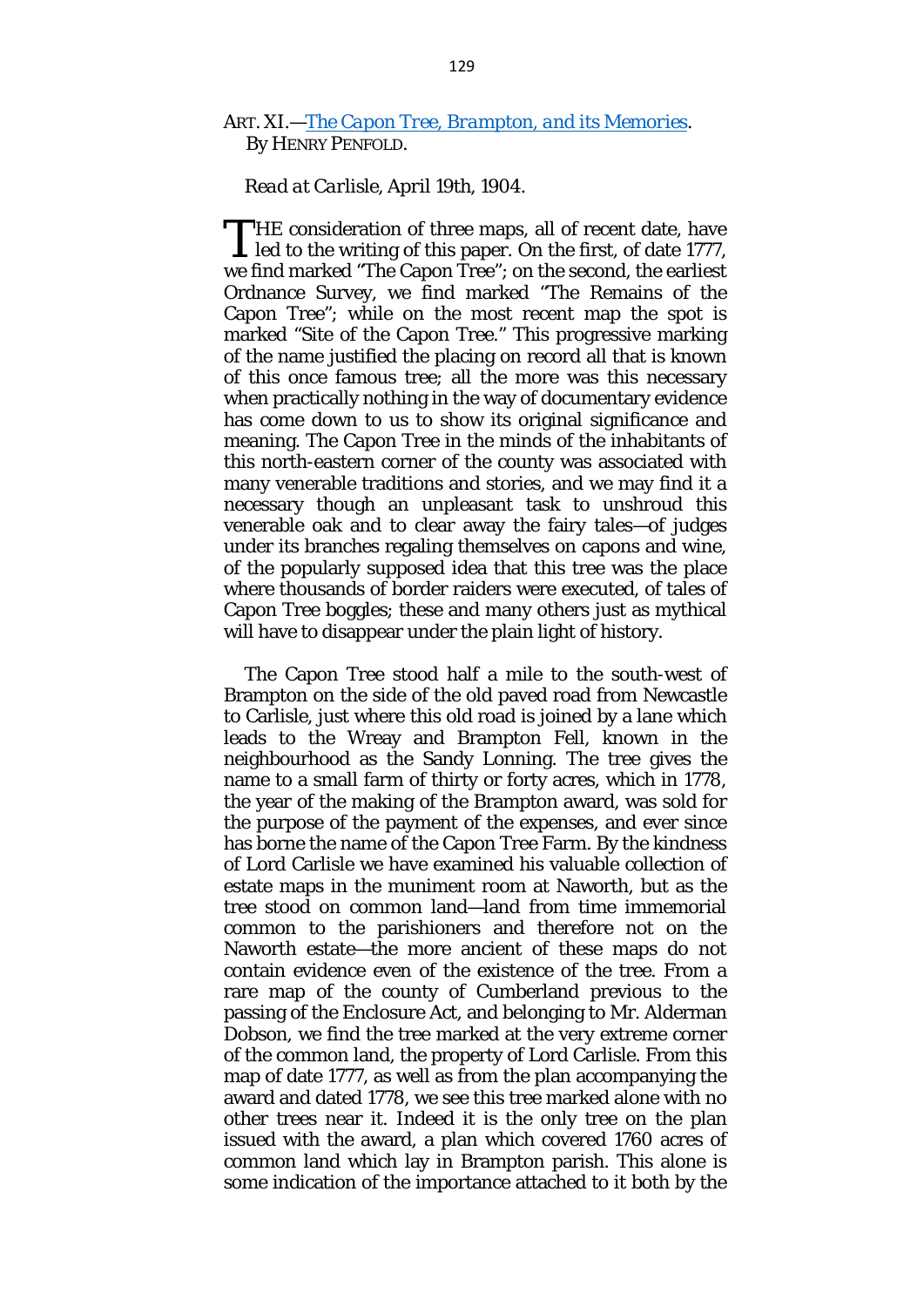# ART. XI.—*[The Capon Tree, Brampton, and its Memories.](http://books.google.com/books?id=U6dUAAAAYAAJ&pg=PA129#v=onepage&q&f=false)*  By HENRY PENFOLD.

## *Read at Carlisle, April 19th, 1904.*

HE consideration of three maps, all of recent date, have THE consideration of three maps, all of recent date, have<br>led to the writing of this paper. On the first, of date 1777, we find marked "The Capon Tree"; on the second, the earliest Ordnance Survey, we find marked "The Remains of the Capon Tree"; while on the most recent map the spot is marked "Site of the Capon Tree." This progressive marking of the name justified the placing on record all that is known of this once famous tree; all the more was this necessary when practically nothing in the way of documentary evidence has come down to us to show its original significance and meaning. The Capon Tree in the minds of the inhabitants of this north-eastern corner of the county was associated with many venerable traditions and stories, and we may find it a necessary though an unpleasant task to unshroud this venerable oak and to clear away the fairy tales—of judges under its branches regaling themselves on capons and wine, of the popularly supposed idea that this tree was the place where thousands of border raiders were executed, of tales of Capon Tree boggles; these and many others just as mythical will have to disappear under the plain light of history.

The Capon Tree stood half a mile to the south-west of Brampton on the side of the old paved road from Newcastle to Carlisle, just where this old road is joined by a lane which leads to the Wreay and Brampton Fell, known in the neighbourhood as the Sandy Lonning. The tree gives the name to a small farm of thirty or forty acres, which in 1778, the year of the making of the Brampton award, was sold for the purpose of the payment of the expenses, and ever since has borne the name of the Capon Tree Farm. By the kindness of Lord Carlisle we have examined his valuable collection of estate maps in the muniment room at Naworth, but as the tree stood on common land—land from time immemorial common to the parishioners and therefore not on the Naworth estate—the more ancient of these maps do not contain evidence even of the existence of the tree. From a rare map of the county of Cumberland previous to the passing of the Enclosure Act, and belonging to Mr. Alderman Dobson, we find the tree marked at the very extreme corner of the common land, the property of Lord Carlisle. From this map of date 1777, as well as from the plan accompanying the award and dated 1778, we see this tree marked alone with no other trees near it. Indeed it is the only tree on the plan issued with the award, a plan which covered 1760 acres of common land which lay in Brampton parish. This alone is some indication of the importance attached to it both by the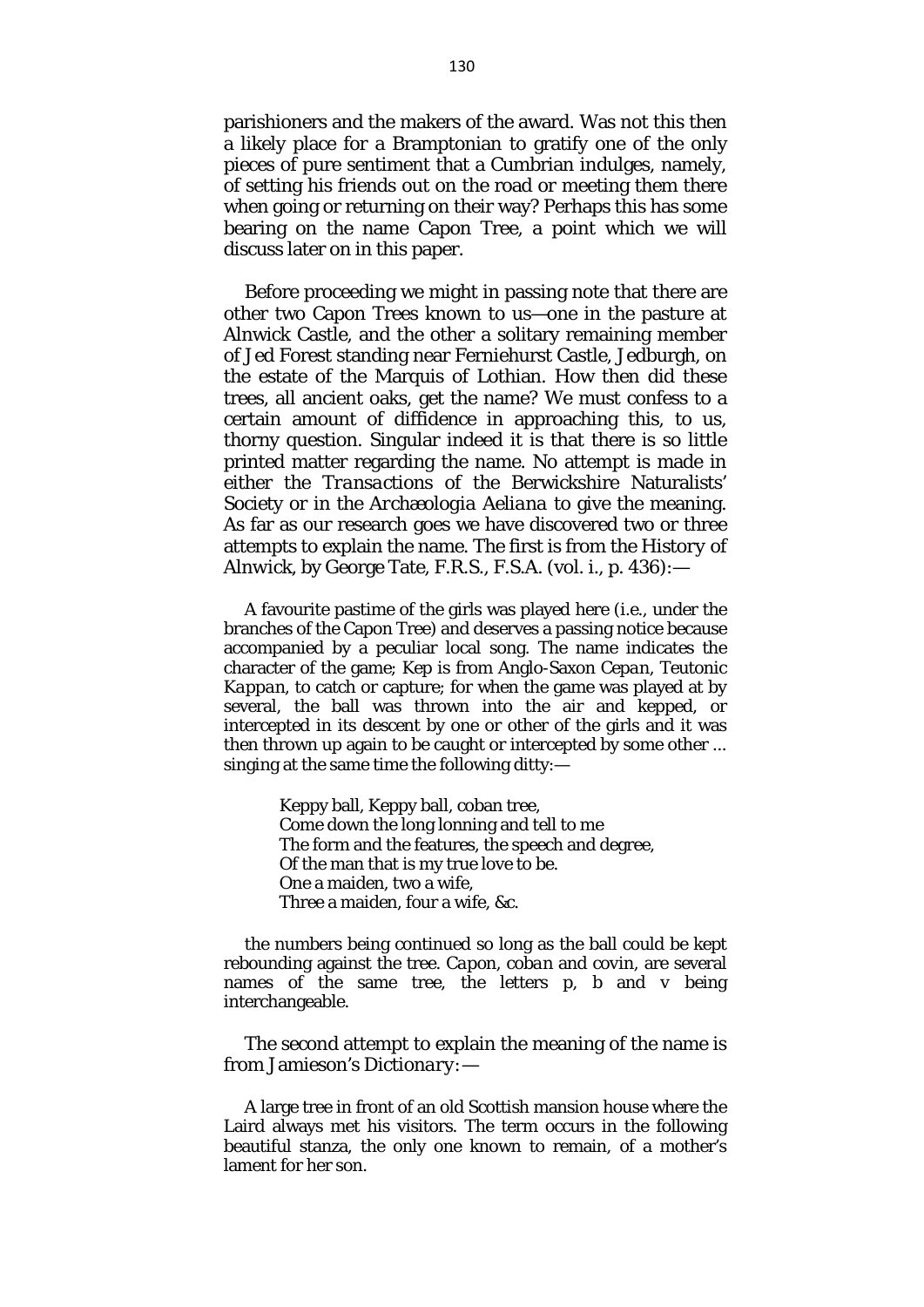parishioners and the makers of the award. Was not this then a likely place for a Bramptonian to gratify one of the only pieces of pure sentiment that a Cumbrian indulges, namely, of setting his friends out on the road or meeting them there when going or returning on their way? Perhaps this has some bearing on the name Capon Tree, a point which we will discuss later on in this paper.

Before proceeding we might in passing note that there are other two Capon Trees known to us—one in the pasture at Alnwick Castle, and the other a solitary remaining member of Jed Forest standing near Ferniehurst Castle, Jedburgh, on the estate of the Marquis of Lothian. How then did these trees, all ancient oaks, get the name? We must confess to a certain amount of diffidence in approaching this, to us, thorny question. Singular indeed it is that there is so little printed matter regarding the name. No attempt is made in either the *Transactions* of the Berwickshire Naturalists' Society or in the *Archæologia Aeliana* to give the meaning. As far as our research goes we have discovered two or three attempts to explain the name. The first is from the *History of Alnwick,* by George Tate, F.R.S., F.S.A. (vol. i., p. 436):—

A favourite pastime of the girls was played here *(i.e.,* under the branches of the Capon Tree) and deserves a passing notice because accompanied by a peculiar local song. The name indicates the character of the game; *Kep* is from Anglo-Saxon *Cepan,* Teutonic *Kappan,* to catch or capture; for when the game was played at by several, the ball was thrown into the air and kepped, or intercepted in its descent by one or other of the girls and it was then thrown up again to be caught or intercepted by some other ... singing at the same time the following ditty:—

> Keppy ball, Keppy ball, coban tree, Come down the long lonning and tell to me The form and the features, the speech and degree, Of the man that is my true love to be. One a maiden, two a wife, Three a maiden, four a wife, &c.

the numbers being continued so long as the ball could be kept rebounding against the tree. *Capon, coban* and *covin,* are several names of the same tree, the letters *p, b* and *v* being interchangeable.

The second attempt to explain the meaning of the name is from Jamieson's *Dictionary:*—

A large tree in front of an old Scottish mansion house where the Laird always met his visitors. The term occurs in the following beautiful stanza, the only one known to remain, of a mother's lament for her son.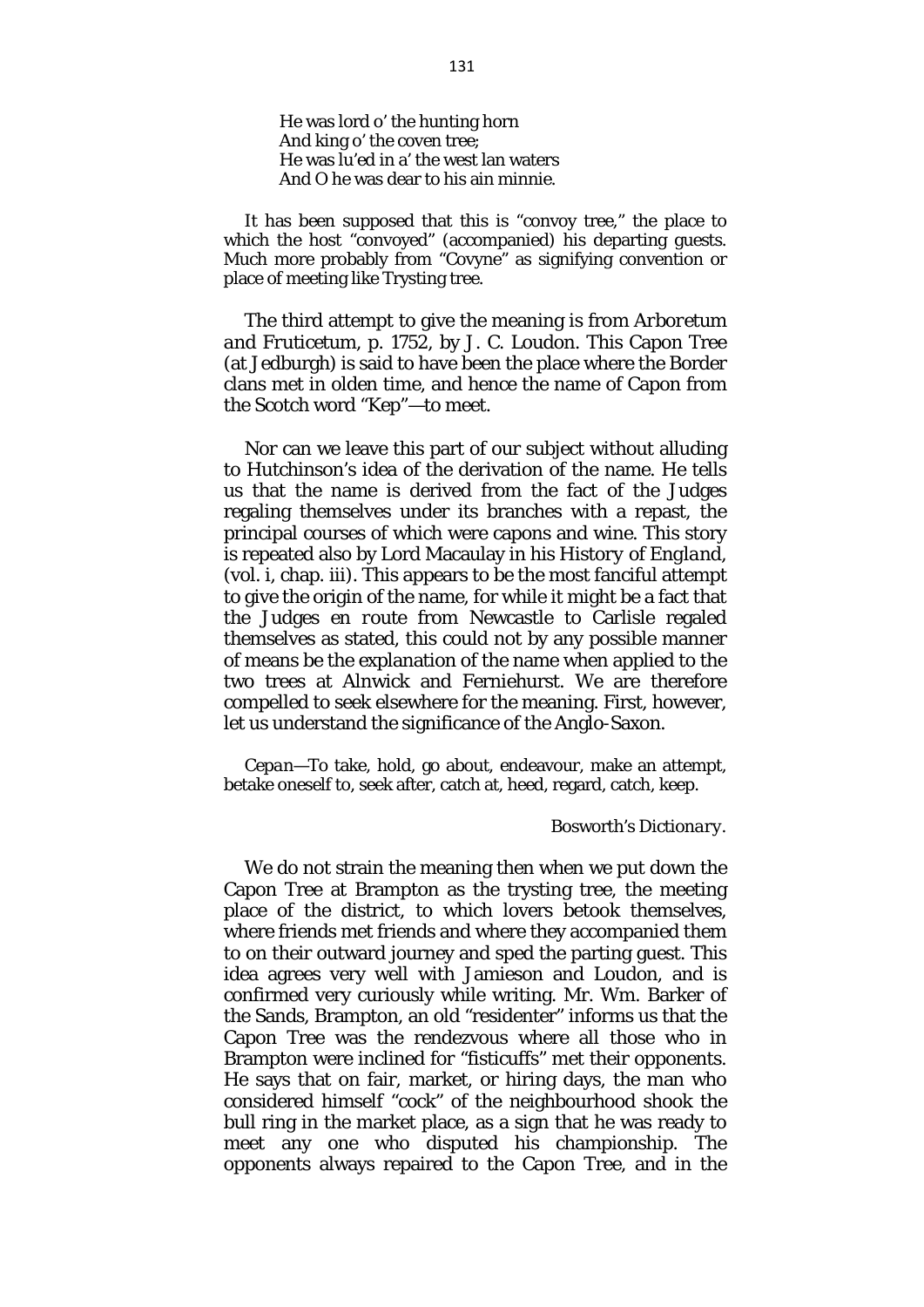He was lord o' the hunting horn And king o' the coven tree; He was lu'ed in a' the west lan waters And O he was dear to his ain minnie.

It has been supposed that this is "convoy tree," the place to which the host "convoyed" (accompanied) his departing guests. Much more probably from "Covyne" as signifying convention or place of meeting like Trysting tree.

The third attempt to give the meaning is from *Arboretum and Fruticetum,* p. 1752, by J. C. Loudon. This Capon Tree (at Jedburgh) is said to have been the place where the Border clans met in olden time, and hence the name of Capon from the Scotch word "Kep"—to meet.

Nor can we leave this part of our subject without alluding to Hutchinson's idea of the derivation of the name. He tells us that the name is derived from the fact of the Judges regaling themselves under its branches with a repast, the principal courses of which were capons and wine. This story is repeated also by Lord Macaulay in his *History of England,*  (vol. i, chap. iii). This appears to be the most fanciful attempt to give the origin of the name, for while it might be a fact that the Judges *en route* from Newcastle to Carlisle regaled themselves as stated, this could not by any possible manner of means be the explanation of the name when applied to the two trees at Alnwick and Ferniehurst. We are therefore compelled to seek elsewhere for the meaning. First, however, let us understand the significance of the Anglo-Saxon.

*Cepan*—To take, hold, go about, endeavour, make an attempt, betake oneself to, seek after, catch at, heed, regard, catch, keep.

#### Bosworth's *Dictionary.*

We do not strain the meaning then when we put down the Capon Tree at Brampton as the trysting tree, the meeting place of the district, to which lovers betook themselves, where friends met friends and where they accompanied them to on their outward journey and sped the parting guest. This idea agrees very well with Jamieson and Loudon, and is confirmed very curiously while writing. Mr. Wm. Barker of the Sands, Brampton, an old "residenter" informs us that the Capon Tree was the rendezvous where all those who in Brampton were inclined for "fisticuffs" met their opponents. He says that on fair, market, or hiring days, the man who considered himself "cock" of the neighbourhood shook the bull ring in the market place, as a sign that he was ready to meet any one who disputed his championship. The opponents always repaired to the Capon Tree, and in the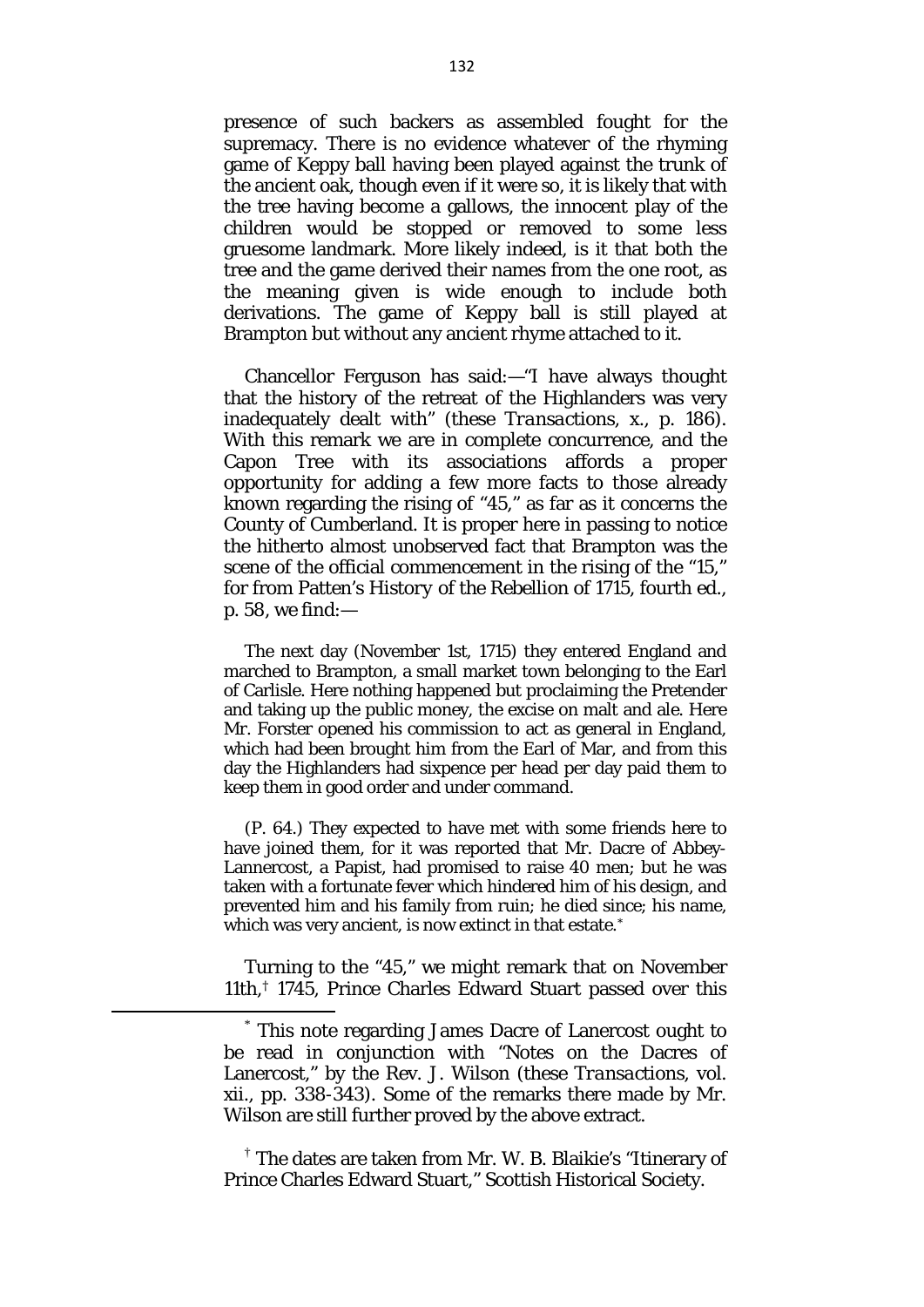presence of such backers as assembled fought for the supremacy. There is no evidence whatever of the rhyming game of Keppy ball having been played against the trunk of the ancient oak, though even if it were so, it is likely that with the tree having become a gallows, the innocent play of the children would be stopped or removed to some less gruesome landmark. More likely indeed, is it that both the tree and the game derived their names from the one root, as the meaning given is wide enough to include both derivations. The game of Keppy ball is still played at Brampton but without any ancient rhyme attached to it.

Chancellor Ferguson has said:—"I have always thought that the history of the retreat of the Highlanders was very inadequately dealt with" (these *Transactions,* x., p. 186). With this remark we are in complete concurrence, and the Capon Tree with its associations affords a proper opportunity for adding a few more facts to those already known regarding the rising of "45," as far as it concerns the County of Cumberland. It is proper here in passing to notice the hitherto almost unobserved fact that Brampton was the scene of the official commencement in the rising of the "15," for from Patten's *History of the Rebellion of 1715,* fourth ed., p. 58, we find:—

The next day (November 1st, 1715) they entered England and marched to Brampton, a small market town belonging to the Earl of Carlisle. Here nothing happened but proclaiming the Pretender and taking up the public money, the excise on malt and ale. Here Mr. Forster opened his commission to act as general in England, which had been brought him from the Earl of Mar, and from this day the Highlanders had sixpence per head per day paid them to keep them in good order and under command.

(P. 64.) They expected to have met with some friends here to have joined them, for it was reported that Mr. Dacre of Abbey-Lannercost, a Papist, had promised to raise 40 men; but he was taken with a fortunate fever which hindered him of his design, and prevented him and his family from ruin; he died since; his name, which was very ancient, is now extinct in that estate.<sup>[\\*](#page-6-0)</sup>

Turning to the "45," we might remark that on November 11th,[†](#page-6-1) 1745, Prince Charles Edward Stuart passed over this

<span id="page-6-1"></span>† The dates are taken from Mr. W. B. Blaikie's "Itinerary of Prince Charles Edward Stuart," Scottish Historical Society.

<span id="page-6-0"></span>\* This note regarding James Dacre of Lanercost ought to be read in conjunction with "Notes on the Dacres of Lanercost," by the Rev. J. Wilson (these *Transactions,* vol. xii., pp. 338-343). Some of the remarks there made by Mr. Wilson are still further proved by the above extract.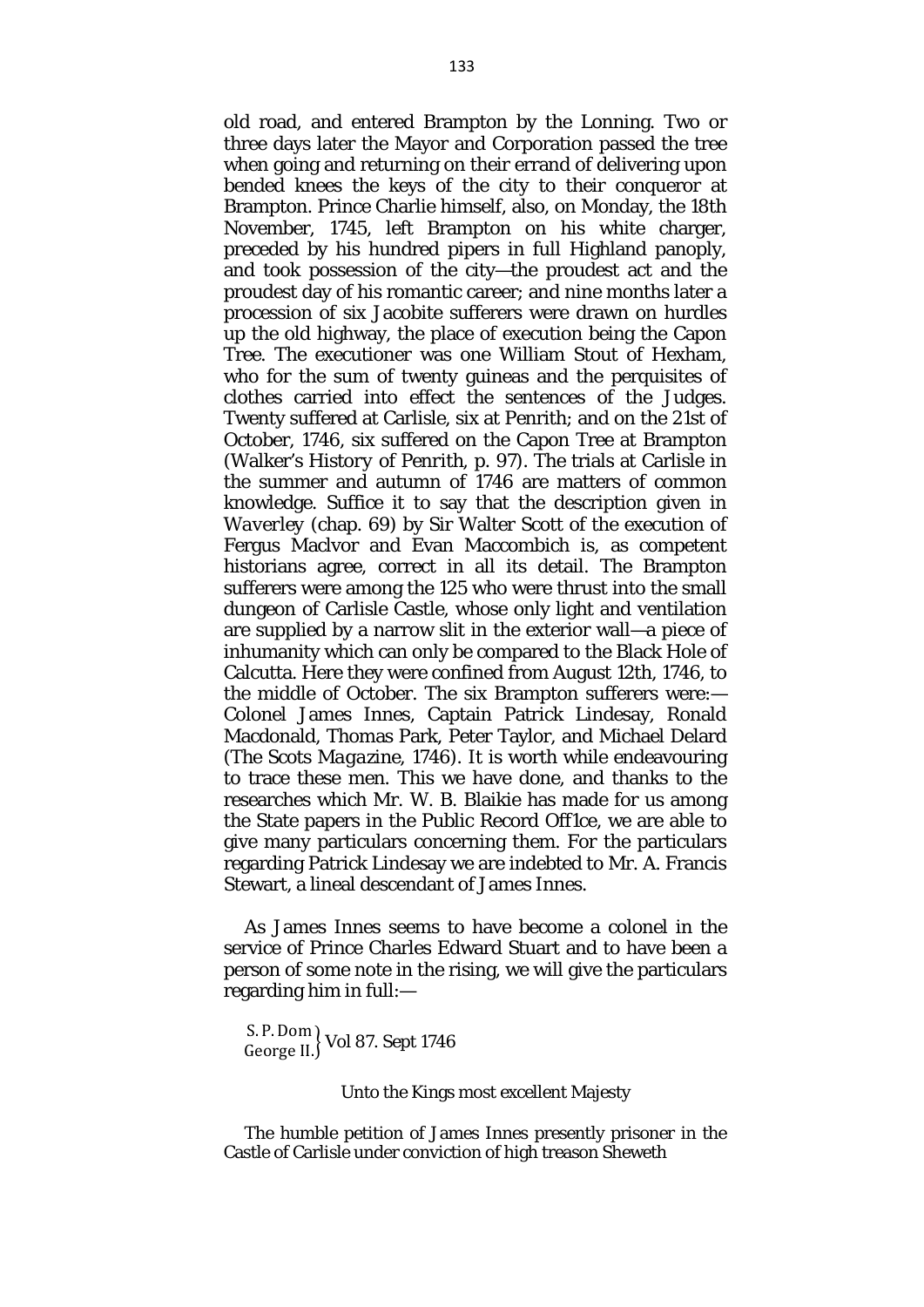old road, and entered Brampton by the Lonning. Two or three days later the Mayor and Corporation passed the tree when going and returning on their errand of delivering upon bended knees the keys of the city to their conqueror at Brampton. Prince Charlie himself, also, on Monday, the 18th November, 1745, left Brampton on his white charger, preceded by his hundred pipers in full Highland panoply, and took possession of the city—the proudest act and the proudest day of his romantic career; and nine months later a procession of six Jacobite sufferers were drawn on hurdles up the old highway, the place of execution being the Capon Tree. The executioner was one William Stout of Hexham, who for the sum of twenty guineas and the perquisites of clothes carried into effect the sentences of the Judges. Twenty suffered at Carlisle, six at Penrith; and on the 21st of October, 1746, six suffered on the Capon Tree at Brampton (Walker's *History of Penrith,* p. 97). The trials at Carlisle in the summer and autumn of 1746 are matters of common knowledge. Suffice it to say that the description given in *Waverley* (chap. 69) by Sir Walter Scott of the execution of Fergus Maclvor and Evan Maccombich is, as competent historians agree, correct in all its detail. The Brampton sufferers were among the 125 who were thrust into the small dungeon of Carlisle Castle, whose only light and ventilation are supplied by a narrow slit in the exterior wall—a piece of inhumanity which can only be compared to the Black Hole of Calcutta. Here they were confined from August 12th, 1746, to the middle of October. The six Brampton sufferers were:— Colonel James Innes, Captain Patrick Lindesay, Ronald Macdonald, Thomas Park, Peter Taylor, and Michael Delard (*The Scots Magazine,* 1746). It is worth while endeavouring to trace these men. This we have done, and thanks to the researches which Mr. W. B. Blaikie has made for us among the State papers in the Public Record Off1ce, we are able to give many particulars concerning them. For the particulars regarding Patrick Lindesay we are indebted to Mr. A. Francis Stewart, a lineal descendant of James Innes.

As James Innes seems to have become a colonel in the service of Prince Charles Edward Stuart and to have been a person of some note in the rising, we will give the particulars regarding him in full:—

S. P.Dom George II. Vol 87. Sept 1746

Unto the Kings most excellent Majesty

The humble petition of James Innes presently prisoner in the Castle of Carlisle under conviction of high treason Sheweth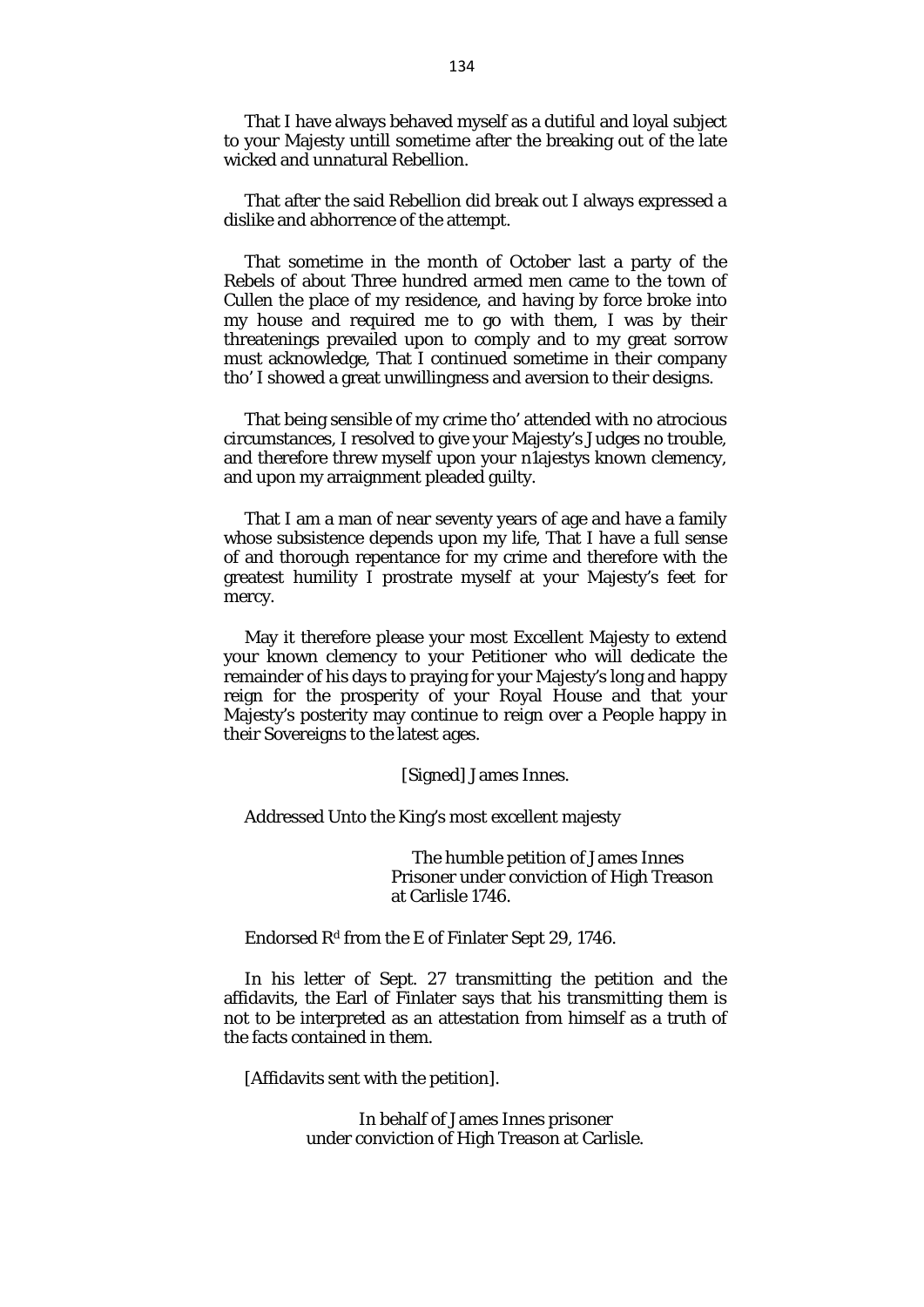That I have always behaved myself as a dutiful and loyal subject to your Majesty untill sometime after the breaking out of the late wicked and unnatural Rebellion.

That after the said Rebellion did break out I always expressed a dislike and abhorrence of the attempt.

That sometime in the month of October last a party of the Rebels of about Three hundred armed men came to the town of Cullen the place of my residence, and having by force broke into my house and required me to go with them, I was by their threatenings prevailed upon to comply and to my great sorrow must acknowledge, That I continued sometime in their company tho' I showed a great unwillingness and aversion to their designs.

That being sensible of my crime tho' attended with no atrocious circumstances, I resolved to give your Majesty's Judges no trouble, and therefore threw myself upon your n1ajestys known clemency, and upon my arraignment pleaded guilty.

That I am a man of near seventy years of age and have a family whose subsistence depends upon my life, That I have a full sense of and thorough repentance for my crime and therefore with the greatest humility I prostrate myself at your Majesty's feet for mercy.

May it therefore please your most Excellent Majesty to extend your known clemency to your Petitioner who will dedicate the remainder of his days to praying for your Majesty's long and happy reign for the prosperity of your Royal House and that your Majesty's posterity may continue to reign over a People happy in their Sovereigns to the latest ages.

[Signed] James Innes.

Addressed Unto the King's most excellent majesty

The humble petition of James Innes Prisoner under conviction of High Treason at Carlisle 1746.

Endorsed  $R<sup>d</sup>$  from the E of Finlater Sept 29, 1746.

In his letter of Sept. 27 transmitting the petition and the affidavits, the Earl of Finlater says that his transmitting them is not to be interpreted as an attestation from himself as a truth of the facts contained in them.

[Affidavits sent with the petition].

In behalf of James Innes prisoner under conviction of High Treason at Carlisle.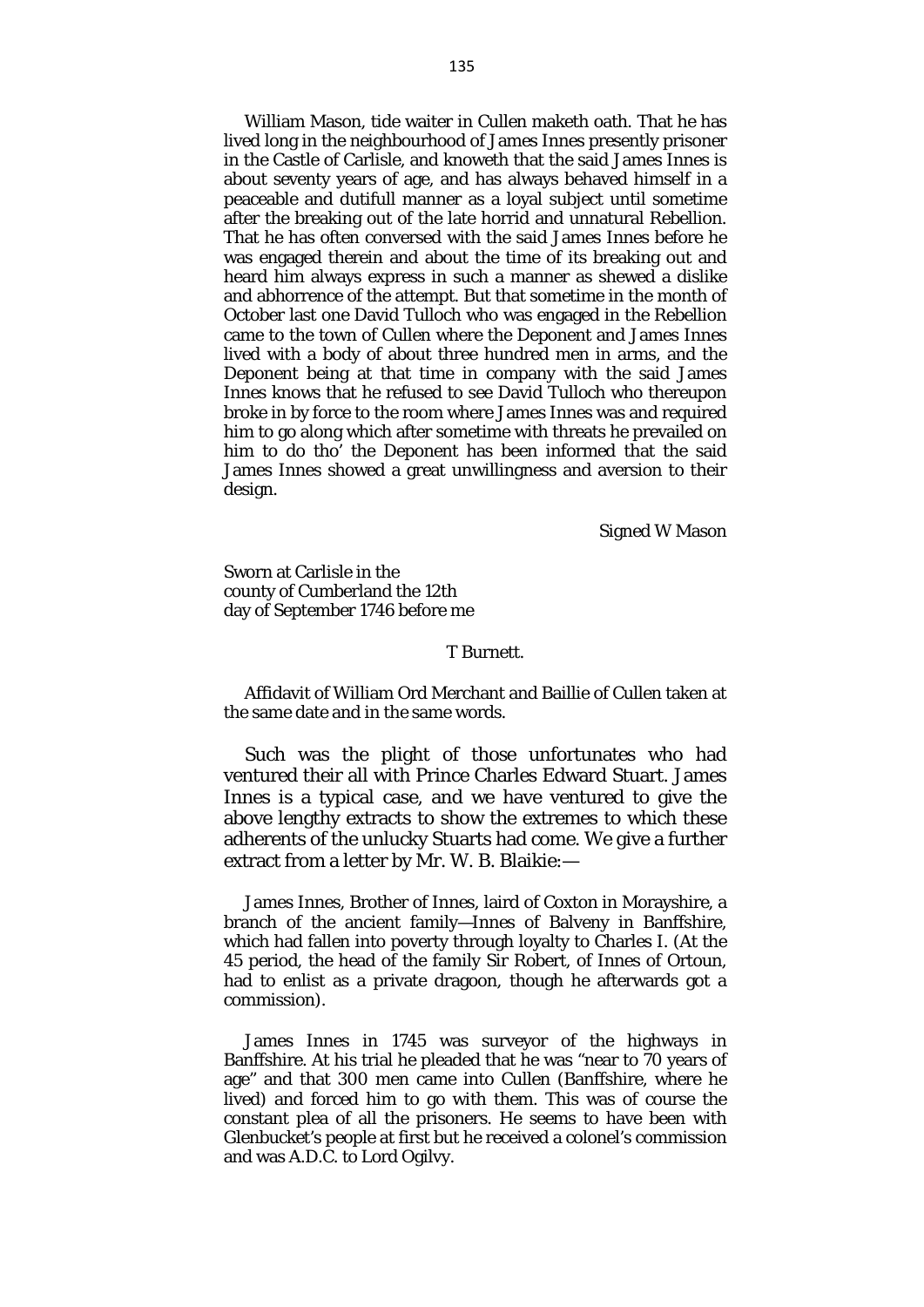William Mason, tide waiter in Cullen maketh oath. That he has lived long in the neighbourhood of James Innes presently prisoner in the Castle of Carlisle, and knoweth that the said James Innes is about seventy years of age, and has always behaved himself in a peaceable and dutifull manner as a loyal subject until sometime after the breaking out of the late horrid and unnatural Rebellion. That he has often conversed with the said James Innes before he was engaged therein and about the time of its breaking out and heard him always express in such a manner as shewed a dislike and abhorrence of the attempt. But that sometime in the month of October last one David Tulloch who was engaged in the Rebellion came to the town of Cullen where the Deponent and James Innes lived with a body of about three hundred men in arms, and the Deponent being at that time in company with the said James Innes knows that he refused to see David Tulloch who thereupon broke in by force to the room where James Innes was and required him to go along which after sometime with threats he prevailed on him to do tho' the Deponent has been informed that the said James Innes showed a great unwillingness and aversion to their design.

Signed W Mason

Sworn at Carlisle in the county of Cumberland the 12th day of September 1746 before me

#### T Burnett.

Affidavit of William Ord Merchant and Baillie of Cullen taken at the same date and in the same words.

Such was the plight of those unfortunates who had ventured their all with Prince Charles Edward Stuart. James Innes is a typical case, and we have ventured to give the above lengthy extracts to show the extremes to which these adherents of the unlucky Stuarts had come. We give a further extract from a letter by Mr. W. B. Blaikie:—

James Innes, Brother of Innes, laird of Coxton in Morayshire, a branch of the ancient family—Innes of Balveny in Banffshire, which had fallen into poverty through loyalty to Charles I. (At the 45 period, the head of the family Sir Robert, of Innes of Ortoun, had to enlist as a private dragoon, though he afterwards got a commission).

James Innes in 1745 was surveyor of the highways in Banffshire. At his trial he pleaded that he was "near to 70 years of age" and that 300 men came into Cullen (Banffshire, where he lived) and forced him to go with them. This was of course the constant plea of all the prisoners. He seems to have been with Glenbucket's people at first but he received a colonel's commission and was A.D.C. to Lord Ogilvy.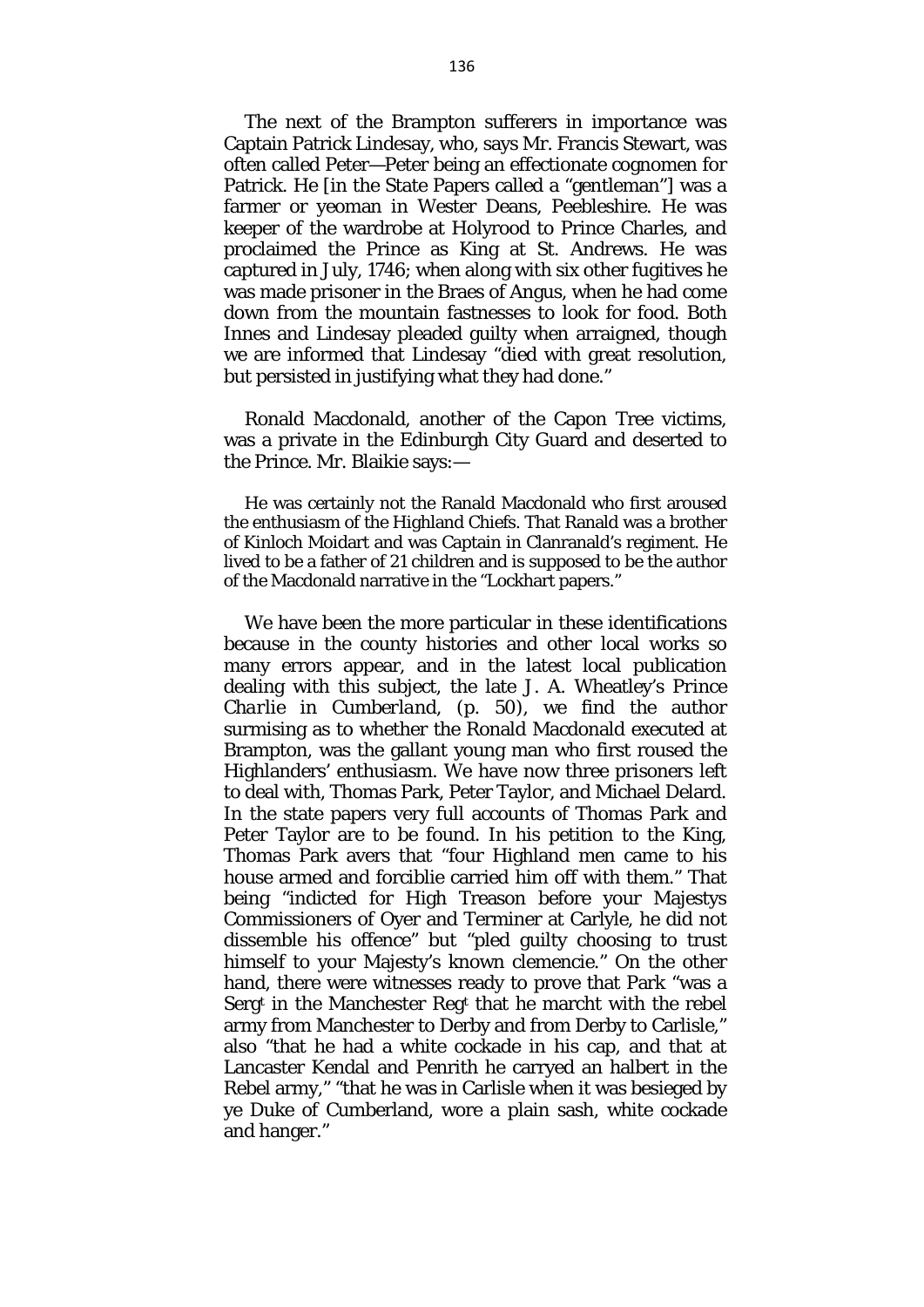The next of the Brampton sufferers in importance was Captain Patrick Lindesay, who, says Mr. Francis Stewart, was often called Peter—Peter being an effectionate cognomen for Patrick. He [in the State Papers called a "gentleman"] was a farmer or yeoman in Wester Deans, Peebleshire. He was keeper of the wardrobe at Holyrood to Prince Charles, and proclaimed the Prince as King at St. Andrews. He was captured in July, 1746; when along with six other fugitives he was made prisoner in the Braes of Angus, when he had come down from the mountain fastnesses to look for food. Both Innes and Lindesay pleaded guilty when arraigned, though we are informed that Lindesay "died with great resolution, but persisted in justifying what they had done."

Ronald Macdonald, another of the Capon Tree victims, was a private in the Edinburgh City Guard and deserted to the Prince. Mr. Blaikie says:—

He was certainly not the Ranald Macdonald who first aroused the enthusiasm of the Highland Chiefs. That Ranald was a brother of Kinloch Moidart and was Captain in Clanranald's regiment. He lived to be a father of 21 children and is supposed to be the author of the Macdonald narrative in the "Lockhart papers."

We have been the more particular in these identifications because in the county histories and other local works so many errors appear, and in the latest local publication dealing with this subject, the late J. A. Wheatley's *Prince Charlie in Cumberland,* (p. 50), we find the author surmising as to whether the Ronald Macdonald executed at Brampton, was the gallant young man who first roused the Highlanders' enthusiasm. We have now three prisoners left to deal with, Thomas Park, Peter Taylor, and Michael Delard. In the state papers very full accounts of Thomas Park and Peter Taylor are to be found. In his petition to the King, Thomas Park avers that "four Highland men came to his house armed and forciblie carried him off with them." That being "indicted for High Treason before your Majestys Commissioners of Oyer and Terminer at Carlyle, he did not dissemble his offence" but "pled guilty choosing to trust himself to your Majesty's known clemencie." On the other hand, there were witnesses ready to prove that Park "was a Sergt in the Manchester Regt that he marcht with the rebel army from Manchester to Derby and from Derby to Carlisle," also "that he had a white cockade in his cap, and that at Lancaster Kendal and Penrith he carryed an halbert in the Rebel army," "that he was in Carlisle when it was besieged by ye Duke of Cumberland, wore a plain sash, white cockade and hanger."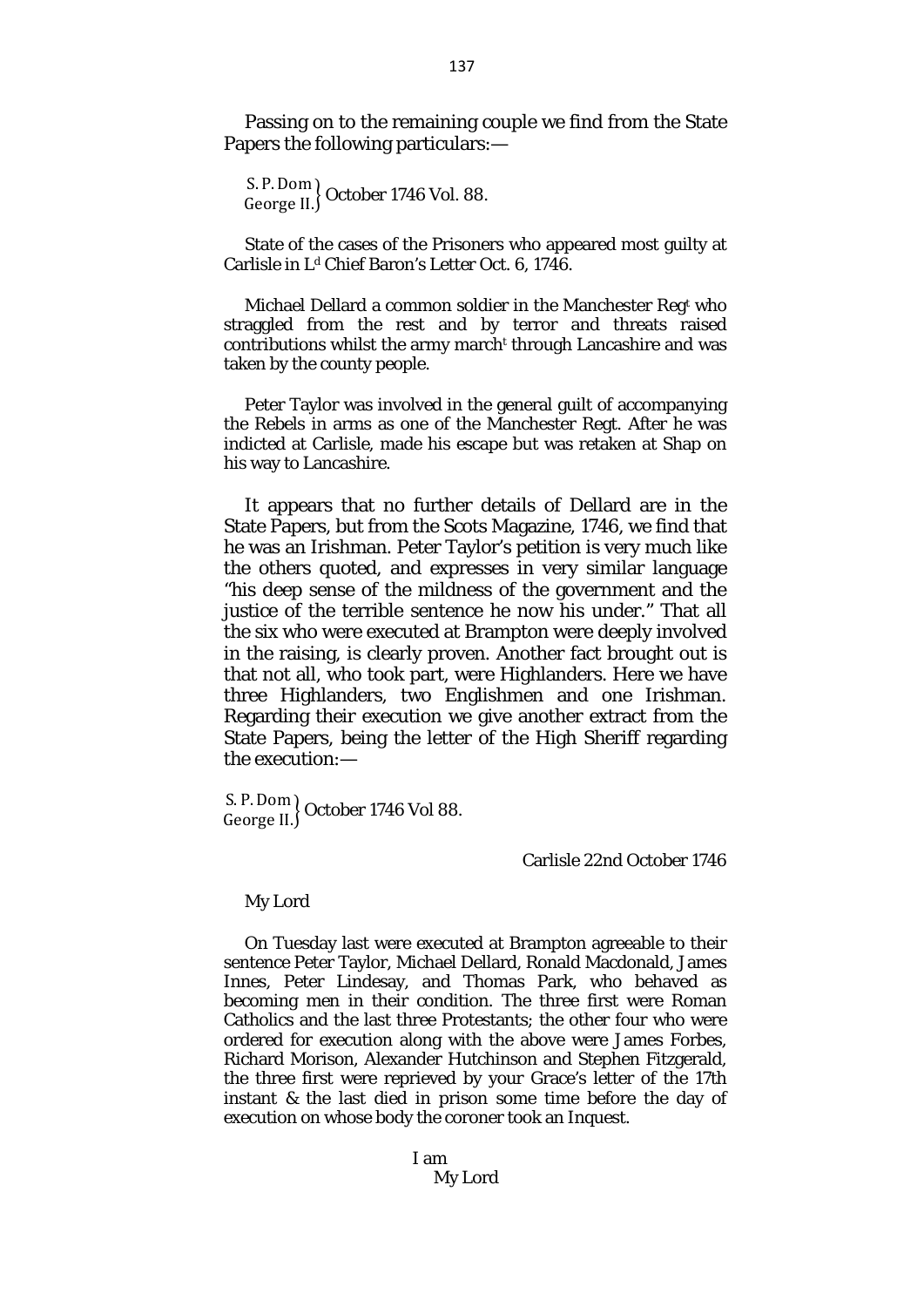Passing on to the remaining couple we find from the State Papers the following particulars:—

S. P.Dom George II. � October 1746 Vol. 88.

State of the cases of the Prisoners who appeared most guilty at Carlisle in L<sup>d</sup> Chief Baron's Letter Oct. 6, 1746.

Michael Dellard a common soldier in the Manchester Regt who straggled from the rest and by terror and threats raised contributions whilst the army marcht through Lancashire and was taken by the county people.

Peter Taylor was involved in the general guilt of accompanying the Rebels in arms as one of the Manchester Regt. After he was indicted at Carlisle, made his escape but was retaken at Shap on his way to Lancashire.

It appears that no further details of Dellard are in the State Papers, but from the Scots Magazine, 1746, we find that he was an Irishman. Peter Taylor's petition is very much like the others quoted, and expresses in very similar language "his deep sense of the mildness of the government and the justice of the terrible sentence he now his under." That all the six who were executed at Brampton were deeply involved in the raising, is clearly proven. Another fact brought out is that not all, who took part, were Highlanders. Here we have three Highlanders, two Englishmen and one Irishman. Regarding their execution we give another extract from the State Papers, being the letter of the High Sheriff regarding the execution:—

S. P.Dom George II. October 1746 Vol 88.

### Carlisle 22nd October 1746

#### My Lord

On Tuesday last were executed at Brampton agreeable to their sentence Peter Taylor, Michael Dellard, Ronald Macdonald, James Innes, Peter Lindesay, and Thomas Park, who behaved as becoming men in their condition. The three first were Roman Catholics and the last three Protestants; the other four who were ordered for execution along with the above were James Forbes, Richard Morison, Alexander Hutchinson and Stephen Fitzgerald, the three first were reprieved by your Grace's letter of the 17th instant & the last died in prison some time before the day of execution on whose body the coroner took an Inquest.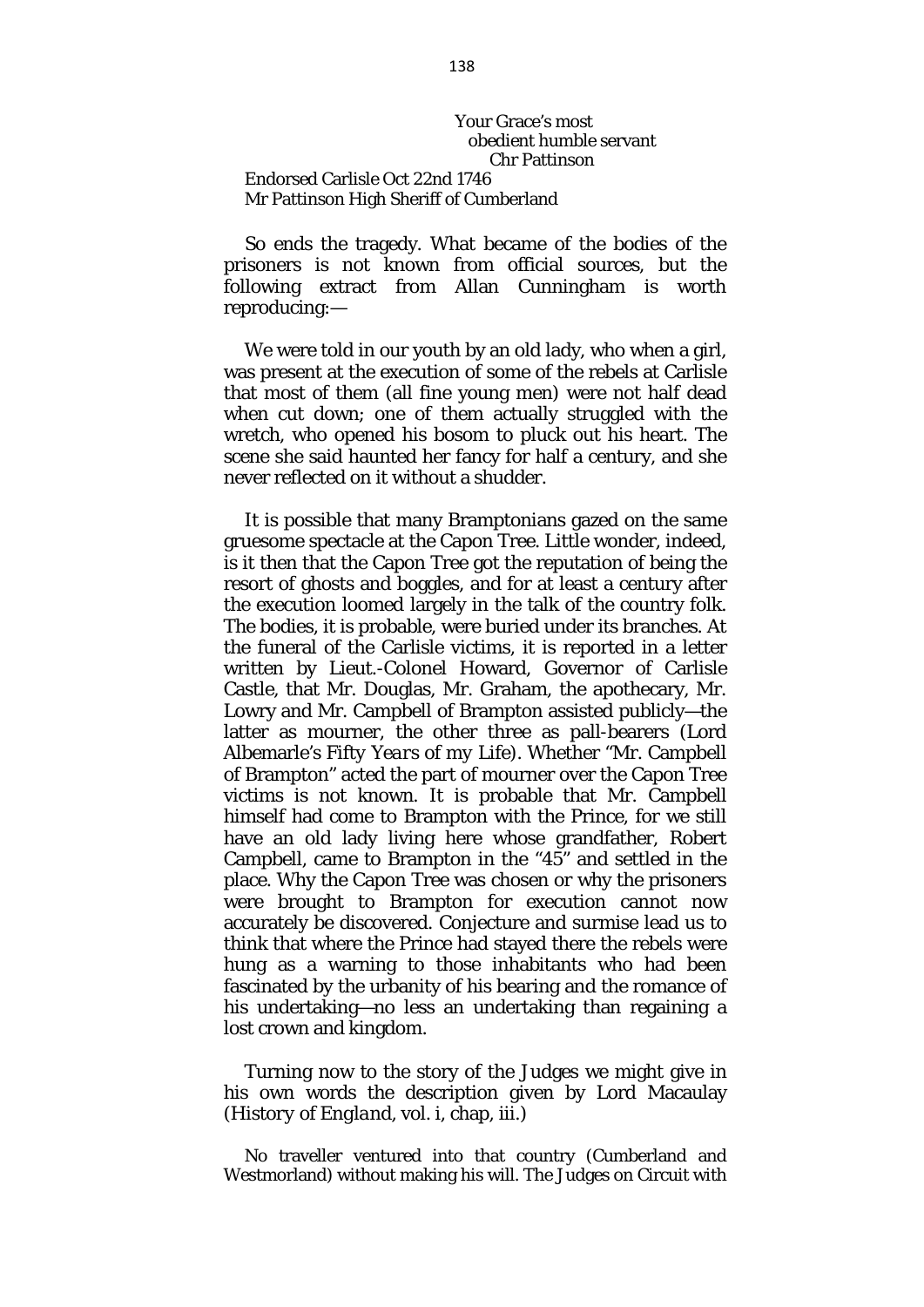Your Grace's most obedient humble servant Chr Pattinson Endorsed Carlisle Oct 22nd 1746 Mr Pattinson High Sheriff of Cumberland

So ends the tragedy. What became of the bodies of the prisoners is not known from official sources, but the following extract from Allan Cunningham is worth reproducing:—

We were told in our youth by an old lady, who when a girl, was present at the execution of some of the rebels at Carlisle that most of them (all fine young men) were not half dead when cut down; one of them actually struggled with the wretch, who opened his bosom to pluck out his heart. The scene she said haunted her fancy for half a century, and she never reflected on it without a shudder.

It is possible that many Bramptonians gazed on the same gruesome spectacle at the Capon Tree. Little wonder, indeed, is it then that the Capon Tree got the reputation of being the resort of ghosts and boggles, and for at least a century after the execution loomed largely in the talk of the country folk. The bodies, it is probable, were buried under its branches. At the funeral of the Carlisle victims, it is reported in a letter written by Lieut.-Colonel Howard, Governor of Carlisle Castle, that Mr. Douglas, Mr. Graham, the apothecary, Mr. Lowry and Mr. Campbell of Brampton assisted publicly—the latter as mourner, the other three as pall-bearers (Lord Albemarle's *Fifty Years of my Life*)*.* Whether "Mr. Campbell of Brampton" acted the part of mourner over the Capon Tree victims is not known. It is probable that Mr. Campbell himself had come to Brampton with the Prince, for we still have an old lady living here whose grandfather, Robert Campbell, came to Brampton in the "45" and settled in the place. Why the Capon Tree was chosen or why the prisoners were brought to Brampton for execution cannot now accurately be discovered. Conjecture and surmise lead us to think that where the Prince had stayed there the rebels were hung as a warning to those inhabitants who had been fascinated by the urbanity of his bearing and the romance of his undertaking—no less an undertaking than regaining a lost crown and kingdom.

Turning now to the story of the Judges we might give in his own words the description given by Lord Macaulay *(History of England,* vol. i, chap, iii.)

No traveller ventured into that country (Cumberland and Westmorland) without making his will. The Judges on Circuit with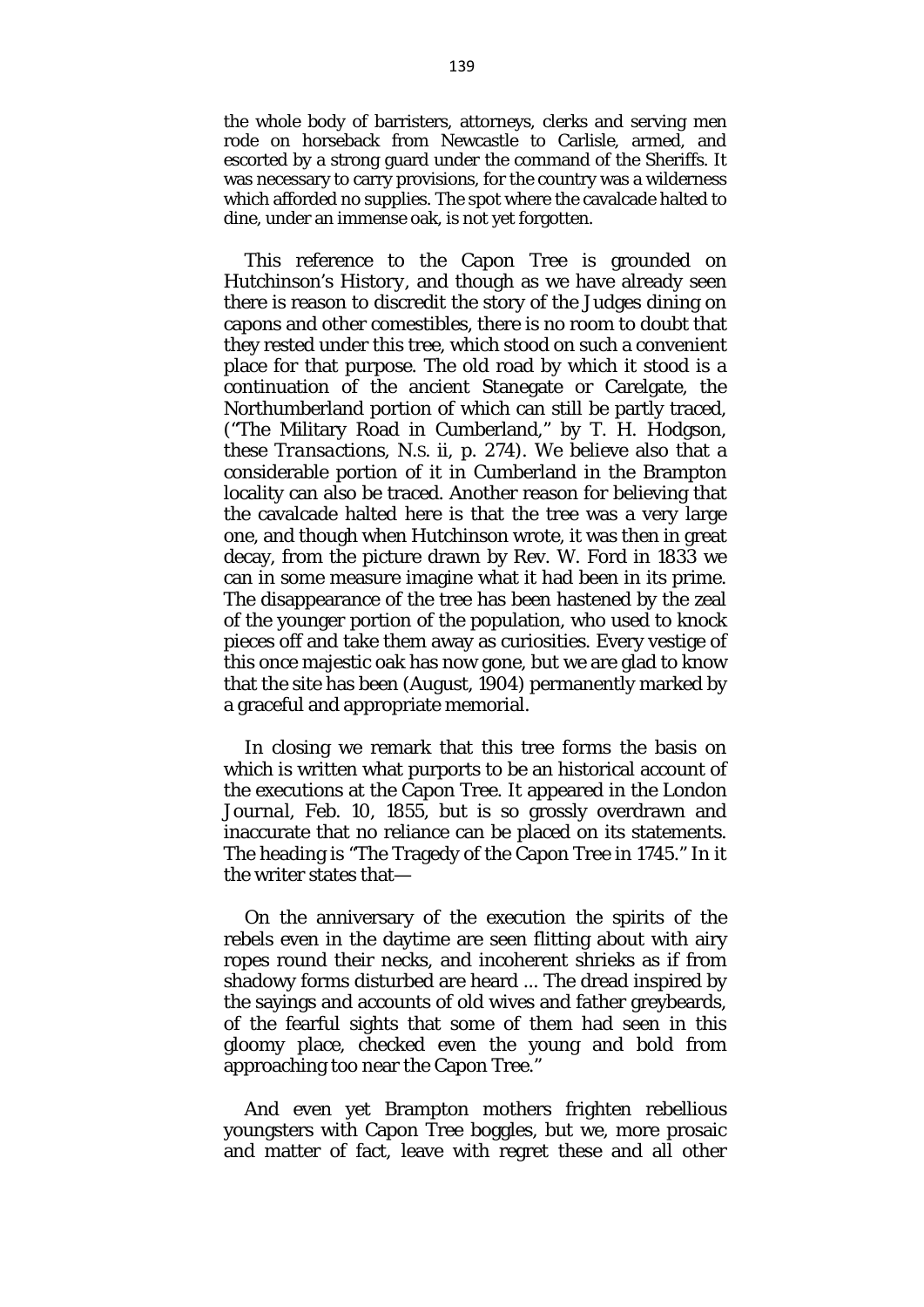the whole body of barristers, attorneys, clerks and serving men rode on horseback from Newcastle to Carlisle, armed, and escorted by a strong guard under the command of the Sheriffs. It was necessary to carry provisions, for the country was a wilderness which afforded no supplies. The spot where the cavalcade halted to dine, under an immense oak, is not yet forgotten.

This reference to the Capon Tree is grounded on Hutchinson's *History,* and though as we have already seen there is reason to discredit the story of the Judges dining on capons and other comestibles, there is no room to doubt that they rested under this tree, which stood on such a convenient place for that purpose. The old road by which it stood is a continuation of the ancient Stanegate or Carelgate, the Northumberland portion of which can still be partly traced, ("The Military Road in Cumberland," by T. H. Hodgson, these *Transactions,* N.S. ii, p. 274). We believe also that a considerable portion of it in Cumberland in the Brampton locality can also be traced. Another reason for believing that the cavalcade halted here is that the tree was a very large one, and though when Hutchinson wrote, it was then in great decay, from the picture drawn by Rev. W. Ford in 1833 we can in some measure imagine what it had been in its prime. The disappearance of the tree has been hastened by the zeal of the younger portion of the population, who used to knock pieces off and take them away as curiosities. Every vestige of this once majestic oak has now gone, but we are glad to know that the site has been (August, 1904) permanently marked by a graceful and appropriate memorial.

In closing we remark that this tree forms the basis on which is written what purports to be an historical account of the executions at the Capon Tree. It appeared in the *London Journal,* Feb. 10, 1855, but is so grossly overdrawn and inaccurate that no reliance can be placed on its statements. The heading is "The Tragedy of the Capon Tree in 1745." In it the writer states that—

On the anniversary of the execution the spirits of the rebels even in the daytime are seen flitting about with airy ropes round their necks, and incoherent shrieks as if from shadowy forms disturbed are heard ... The dread inspired by the sayings and accounts of old wives and father greybeards, of the fearful sights that some of them had seen in this gloomy place, checked even the young and bold from approaching too near the Capon Tree."

And even yet Brampton mothers frighten rebellious youngsters with Capon Tree boggles, but we, more prosaic and matter of fact, leave with regret these and all other